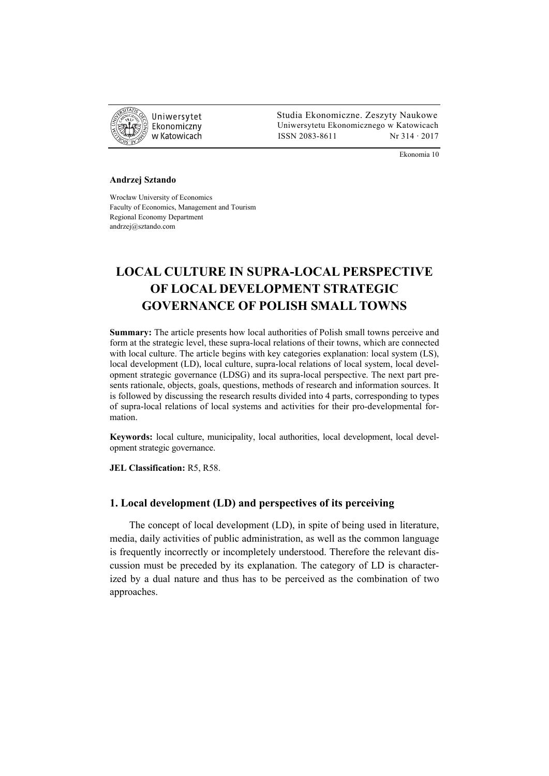

 Studia Ekonomiczne. Zeszyty Naukowe Ekonomiczny Uniwersytetu Ekonomicznego w Katowicach w Katowicach Matsus (ISSN 2083-8611 Nr 314 · 2017

Ekonomia 10

#### **Andrzej Sztando**

Wrocław University of Economics Faculty of Economics, Management and Tourism Regional Economy Department andrzej@sztando.com

# **LOCAL CULTURE IN SUPRA-LOCAL PERSPECTIVE OF LOCAL DEVELOPMENT STRATEGIC GOVERNANCE OF POLISH SMALL TOWNS**

**Summary:** The article presents how local authorities of Polish small towns perceive and form at the strategic level, these supra-local relations of their towns, which are connected with local culture. The article begins with key categories explanation: local system (LS), local development (LD), local culture, supra-local relations of local system, local development strategic governance (LDSG) and its supra-local perspective. The next part presents rationale, objects, goals, questions, methods of research and information sources. It is followed by discussing the research results divided into 4 parts, corresponding to types of supra-local relations of local systems and activities for their pro-developmental formation.

**Keywords:** local culture, municipality, local authorities, local development, local development strategic governance.

**JEL Classification:** R5, R58.

### **1. Local development (LD) and perspectives of its perceiving**

The concept of local development (LD), in spite of being used in literature, media, daily activities of public administration, as well as the common language is frequently incorrectly or incompletely understood. Therefore the relevant discussion must be preceded by its explanation. The category of LD is characterized by a dual nature and thus has to be perceived as the combination of two approaches.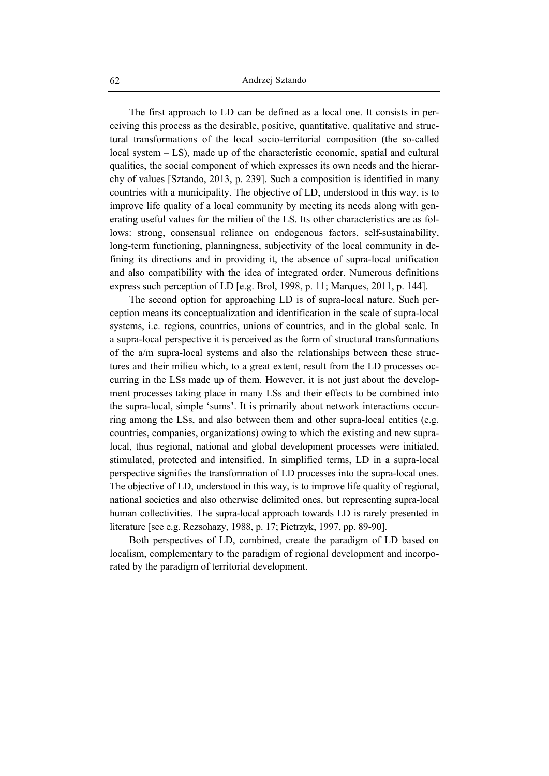The first approach to LD can be defined as a local one. It consists in perceiving this process as the desirable, positive, quantitative, qualitative and structural transformations of the local socio-territorial composition (the so-called local system – LS), made up of the characteristic economic, spatial and cultural qualities, the social component of which expresses its own needs and the hierarchy of values [Sztando, 2013, p. 239]. Such a composition is identified in many countries with a municipality. The objective of LD, understood in this way, is to improve life quality of a local community by meeting its needs along with generating useful values for the milieu of the LS. Its other characteristics are as follows: strong, consensual reliance on endogenous factors, self-sustainability, long-term functioning, planningness, subjectivity of the local community in defining its directions and in providing it, the absence of supra-local unification and also compatibility with the idea of integrated order. Numerous definitions express such perception of LD [e.g. Brol, 1998, p. 11; Marques, 2011, p. 144].

The second option for approaching LD is of supra-local nature. Such perception means its conceptualization and identification in the scale of supra-local systems, i.e. regions, countries, unions of countries, and in the global scale. In a supra-local perspective it is perceived as the form of structural transformations of the a/m supra-local systems and also the relationships between these structures and their milieu which, to a great extent, result from the LD processes occurring in the LSs made up of them. However, it is not just about the development processes taking place in many LSs and their effects to be combined into the supra-local, simple 'sums'. It is primarily about network interactions occurring among the LSs, and also between them and other supra-local entities (e.g. countries, companies, organizations) owing to which the existing and new supralocal, thus regional, national and global development processes were initiated, stimulated, protected and intensified. In simplified terms, LD in a supra-local perspective signifies the transformation of LD processes into the supra-local ones. The objective of LD, understood in this way, is to improve life quality of regional, national societies and also otherwise delimited ones, but representing supra-local human collectivities. The supra-local approach towards LD is rarely presented in literature [see e.g. Rezsohazy, 1988, p. 17; Pietrzyk, 1997, pp. 89-90].

Both perspectives of LD, combined, create the paradigm of LD based on localism, complementary to the paradigm of regional development and incorporated by the paradigm of territorial development.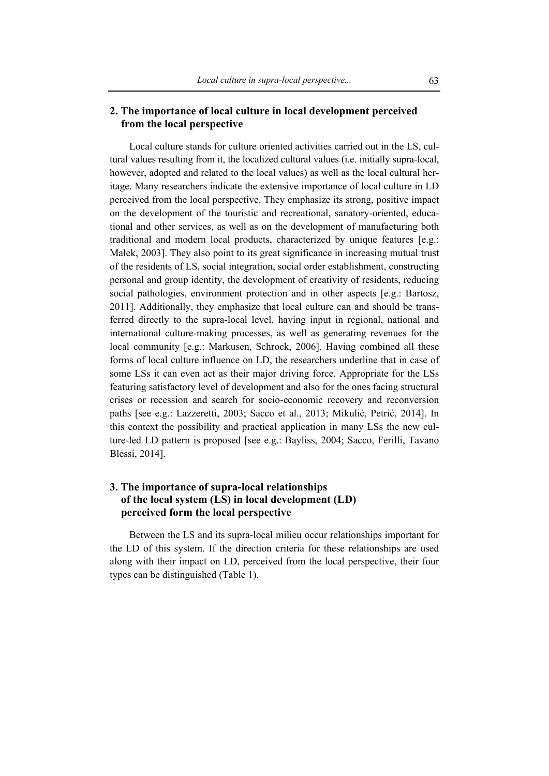## **2. The importance of local culture in local development perceived from the local perspective**

Local culture stands for culture oriented activities carried out in the LS, cultural values resulting from it, the localized cultural values (i.e. initially supra-local, however, adopted and related to the local values) as well as the local cultural heritage. Many researchers indicate the extensive importance of local culture in LD perceived from the local perspective. They emphasize its strong, positive impact on the development of the touristic and recreational, sanatory-oriented, educational and other services, as well as on the development of manufacturing both traditional and modern local products, characterized by unique features [e.g.: Małek, 2003]. They also point to its great significance in increasing mutual trust of the residents of LS, social integration, social order establishment, constructing personal and group identity, the development of creativity of residents, reducing social pathologies, environment protection and in other aspects [e.g.: Bartosz, 2011]. Additionally, they emphasize that local culture can and should be transferred directly to the supra-local level, having input in regional, national and international culture-making processes, as well as generating revenues for the local community [e.g.: Markusen, Schrock, 2006]. Having combined all these forms of local culture influence on LD, the researchers underline that in case of some LSs it can even act as their major driving force. Appropriate for the LSs featuring satisfactory level of development and also for the ones facing structural crises or recession and search for socio-economic recovery and reconversion paths [see e.g.: Lazzeretti, 2003; Sacco et al., 2013; Mikulić, Petrić, 2014]. In this context the possibility and practical application in many LSs the new culture-led LD pattern is proposed [see e.g.: Bayliss, 2004; Sacco, Ferilli, Tavano Blessi, 2014].

# **3. The importance of supra-local relationships of the local system (LS) in local development (LD) perceived form the local perspective**

Between the LS and its supra-local milieu occur relationships important for the LD of this system. If the direction criteria for these relationships are used along with their impact on LD, perceived from the local perspective, their four types can be distinguished (Table 1).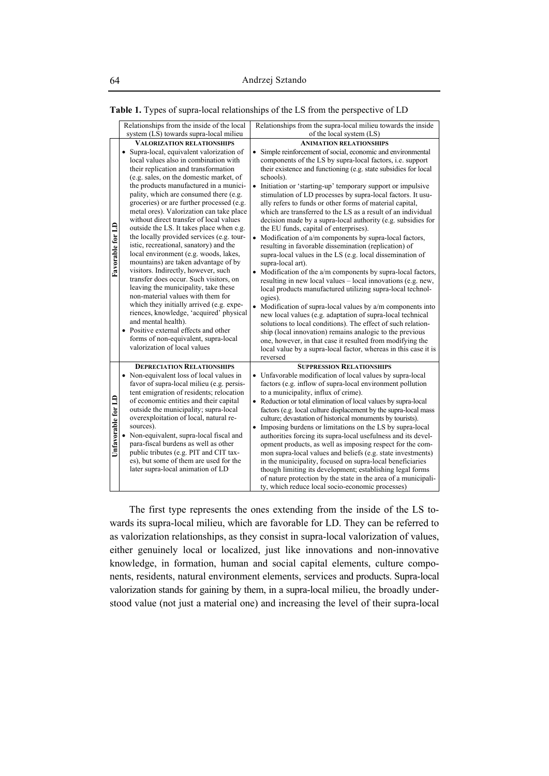|  | Table 1. Types of supra-local relationships of the LS from the perspective of LD |
|--|----------------------------------------------------------------------------------|
|  |                                                                                  |

|                    | Relationships from the inside of the local                                                                                                                                                                                                                                                                                                                                                                                                                                                                                                                                                                                                                                                                                                                                                                                                                                                                                                                                                                                                        | Relationships from the supra-local milieu towards the inside                                                                                                                                                                                                                                                                                                                                                                                                                                                                                                                                                                                                                                                                                                                                                                                                                                                                                                                                                                                                                                                                                                                                                                                                                                                                                                                                                                                                                |
|--------------------|---------------------------------------------------------------------------------------------------------------------------------------------------------------------------------------------------------------------------------------------------------------------------------------------------------------------------------------------------------------------------------------------------------------------------------------------------------------------------------------------------------------------------------------------------------------------------------------------------------------------------------------------------------------------------------------------------------------------------------------------------------------------------------------------------------------------------------------------------------------------------------------------------------------------------------------------------------------------------------------------------------------------------------------------------|-----------------------------------------------------------------------------------------------------------------------------------------------------------------------------------------------------------------------------------------------------------------------------------------------------------------------------------------------------------------------------------------------------------------------------------------------------------------------------------------------------------------------------------------------------------------------------------------------------------------------------------------------------------------------------------------------------------------------------------------------------------------------------------------------------------------------------------------------------------------------------------------------------------------------------------------------------------------------------------------------------------------------------------------------------------------------------------------------------------------------------------------------------------------------------------------------------------------------------------------------------------------------------------------------------------------------------------------------------------------------------------------------------------------------------------------------------------------------------|
|                    | system (LS) towards supra-local milieu                                                                                                                                                                                                                                                                                                                                                                                                                                                                                                                                                                                                                                                                                                                                                                                                                                                                                                                                                                                                            | of the local system (LS)                                                                                                                                                                                                                                                                                                                                                                                                                                                                                                                                                                                                                                                                                                                                                                                                                                                                                                                                                                                                                                                                                                                                                                                                                                                                                                                                                                                                                                                    |
| Favorable for LD   | <b>VALORIZATION RELATIONSHIPS</b><br>· Supra-local, equivalent valorization of<br>local values also in combination with<br>their replication and transformation<br>(e.g. sales, on the domestic market, of<br>the products manufactured in a munici-<br>pality, which are consumed there (e.g.<br>groceries) or are further processed (e.g.<br>metal ores). Valorization can take place<br>without direct transfer of local values<br>outside the LS. It takes place when e.g.<br>the locally provided services (e.g. tour-<br>istic, recreational, sanatory) and the<br>local environment (e.g. woods, lakes,<br>mountains) are taken advantage of by<br>visitors. Indirectly, however, such<br>transfer does occur. Such visitors, on<br>leaving the municipality, take these<br>non-material values with them for<br>which they initially arrived (e.g. expe-<br>riences, knowledge, 'acquired' physical<br>and mental health).<br>Positive external effects and other<br>forms of non-equivalent, supra-local<br>valorization of local values | <b>ANIMATION RELATIONSHIPS</b><br>Simple reinforcement of social, economic and environmental<br>components of the LS by supra-local factors, <i>i.e.</i> support<br>their existence and functioning (e.g. state subsidies for local<br>schools).<br>$\bullet$<br>Initiation or 'starting-up' temporary support or impulsive<br>stimulation of LD processes by supra-local factors. It usu-<br>ally refers to funds or other forms of material capital,<br>which are transferred to the LS as a result of an individual<br>decision made by a supra-local authority (e.g. subsidies for<br>the EU funds, capital of enterprises).<br>$\bullet$<br>Modification of a/m components by supra-local factors,<br>resulting in favorable dissemination (replication) of<br>supra-local values in the LS (e.g. local dissemination of<br>supra-local art).<br>• Modification of the a/m components by supra-local factors,<br>resulting in new local values – local innovations (e.g. new,<br>local products manufactured utilizing supra-local technol-<br>ogies).<br>$\bullet$<br>Modification of supra-local values by a/m components into<br>new local values (e.g. adaptation of supra-local technical<br>solutions to local conditions). The effect of such relation-<br>ship (local innovation) remains analogic to the previous<br>one, however, in that case it resulted from modifying the<br>local value by a supra-local factor, whereas in this case it is<br>reversed |
| Unfavorable for LD | <b>DEPRECIATION RELATIONSHIPS</b><br>• Non-equivalent loss of local values in<br>favor of supra-local milieu (e.g. persis-<br>tent emigration of residents; relocation<br>of economic entities and their capital<br>outside the municipality; supra-local<br>overexploitation of local, natural re-<br>sources).<br>Non-equivalent, supra-local fiscal and<br>para-fiscal burdens as well as other<br>public tributes (e.g. PIT and CIT tax-<br>es), but some of them are used for the<br>later supra-local animation of LD                                                                                                                                                                                                                                                                                                                                                                                                                                                                                                                       | <b>SUPPRESSION RELATIONSHIPS</b><br>• Unfavorable modification of local values by supra-local<br>factors (e.g. inflow of supra-local environment pollution<br>to a municipality, influx of crime).<br>• Reduction or total elimination of local values by supra-local<br>factors (e.g. local culture displacement by the supra-local mass<br>culture; devastation of historical monuments by tourists).<br>• Imposing burdens or limitations on the LS by supra-local<br>authorities forcing its supra-local usefulness and its devel-<br>opment products, as well as imposing respect for the com-<br>mon supra-local values and beliefs (e.g. state investments)<br>in the municipality, focused on supra-local beneficiaries<br>though limiting its development; establishing legal forms<br>of nature protection by the state in the area of a municipali-<br>ty, which reduce local socio-economic processes)                                                                                                                                                                                                                                                                                                                                                                                                                                                                                                                                                          |

The first type represents the ones extending from the inside of the LS towards its supra-local milieu, which are favorable for LD. They can be referred to as valorization relationships, as they consist in supra-local valorization of values, either genuinely local or localized, just like innovations and non-innovative knowledge, in formation, human and social capital elements, culture components, residents, natural environment elements, services and products. Supra-local valorization stands for gaining by them, in a supra-local milieu, the broadly understood value (not just a material one) and increasing the level of their supra-local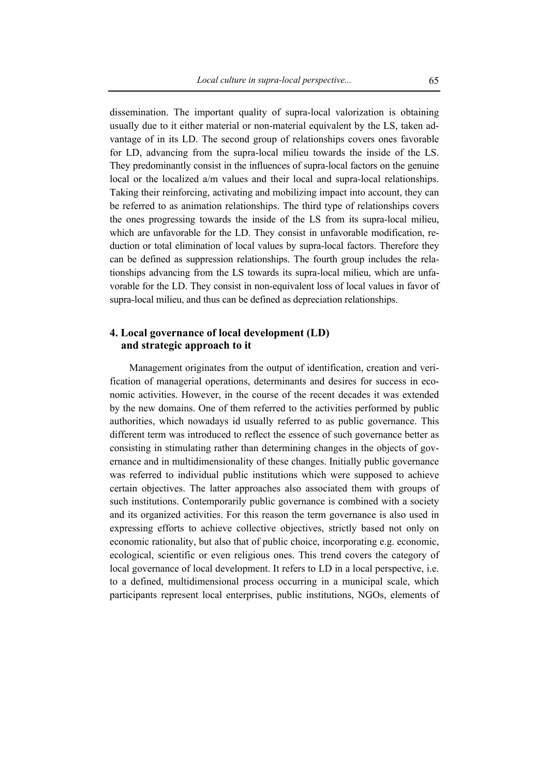dissemination. The important quality of supra-local valorization is obtaining usually due to it either material or non-material equivalent by the LS, taken advantage of in its LD. The second group of relationships covers ones favorable for LD, advancing from the supra-local milieu towards the inside of the LS. They predominantly consist in the influences of supra-local factors on the genuine local or the localized a/m values and their local and supra-local relationships. Taking their reinforcing, activating and mobilizing impact into account, they can be referred to as animation relationships. The third type of relationships covers the ones progressing towards the inside of the LS from its supra-local milieu, which are unfavorable for the LD. They consist in unfavorable modification, reduction or total elimination of local values by supra-local factors. Therefore they can be defined as suppression relationships. The fourth group includes the relationships advancing from the LS towards its supra-local milieu, which are unfavorable for the LD. They consist in non-equivalent loss of local values in favor of supra-local milieu, and thus can be defined as depreciation relationships.

### **4. Local governance of local development (LD) and strategic approach to it**

Management originates from the output of identification, creation and verification of managerial operations, determinants and desires for success in economic activities. However, in the course of the recent decades it was extended by the new domains. One of them referred to the activities performed by public authorities, which nowadays id usually referred to as public governance. This different term was introduced to reflect the essence of such governance better as consisting in stimulating rather than determining changes in the objects of governance and in multidimensionality of these changes. Initially public governance was referred to individual public institutions which were supposed to achieve certain objectives. The latter approaches also associated them with groups of such institutions. Contemporarily public governance is combined with a society and its organized activities. For this reason the term governance is also used in expressing efforts to achieve collective objectives, strictly based not only on economic rationality, but also that of public choice, incorporating e.g. economic, ecological, scientific or even religious ones. This trend covers the category of local governance of local development. It refers to LD in a local perspective, i.e. to a defined, multidimensional process occurring in a municipal scale, which participants represent local enterprises, public institutions, NGOs, elements of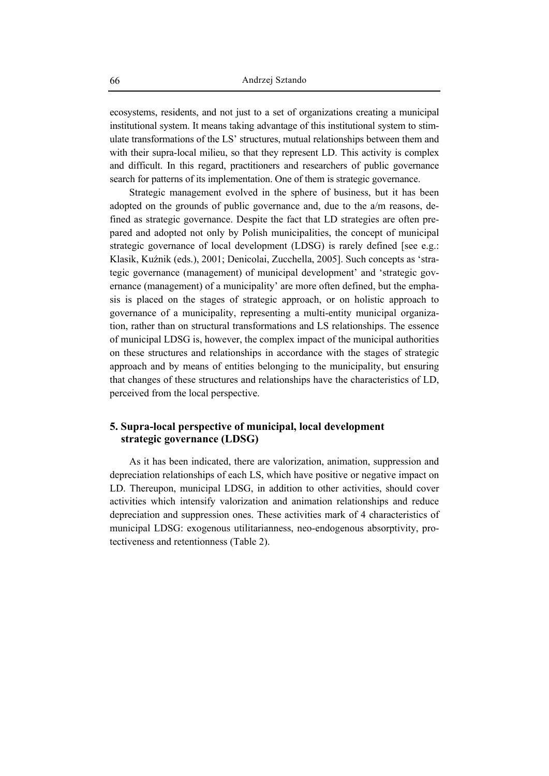ecosystems, residents, and not just to a set of organizations creating a municipal institutional system. It means taking advantage of this institutional system to stimulate transformations of the LS' structures, mutual relationships between them and with their supra-local milieu, so that they represent LD. This activity is complex and difficult. In this regard, practitioners and researchers of public governance search for patterns of its implementation. One of them is strategic governance.

Strategic management evolved in the sphere of business, but it has been adopted on the grounds of public governance and, due to the a/m reasons, defined as strategic governance. Despite the fact that LD strategies are often prepared and adopted not only by Polish municipalities, the concept of municipal strategic governance of local development (LDSG) is rarely defined [see e.g.: Klasik, Kuźnik (eds.), 2001; Denicolai, Zucchella, 2005]. Such concepts as 'strategic governance (management) of municipal development' and 'strategic governance (management) of a municipality' are more often defined, but the emphasis is placed on the stages of strategic approach, or on holistic approach to governance of a municipality, representing a multi-entity municipal organization, rather than on structural transformations and LS relationships. The essence of municipal LDSG is, however, the complex impact of the municipal authorities on these structures and relationships in accordance with the stages of strategic approach and by means of entities belonging to the municipality, but ensuring that changes of these structures and relationships have the characteristics of LD, perceived from the local perspective.

## **5. Supra-local perspective of municipal, local development strategic governance (LDSG)**

As it has been indicated, there are valorization, animation, suppression and depreciation relationships of each LS, which have positive or negative impact on LD. Thereupon, municipal LDSG, in addition to other activities, should cover activities which intensify valorization and animation relationships and reduce depreciation and suppression ones. These activities mark of 4 characteristics of municipal LDSG: exogenous utilitarianness, neo-endogenous absorptivity, protectiveness and retentionness (Table 2).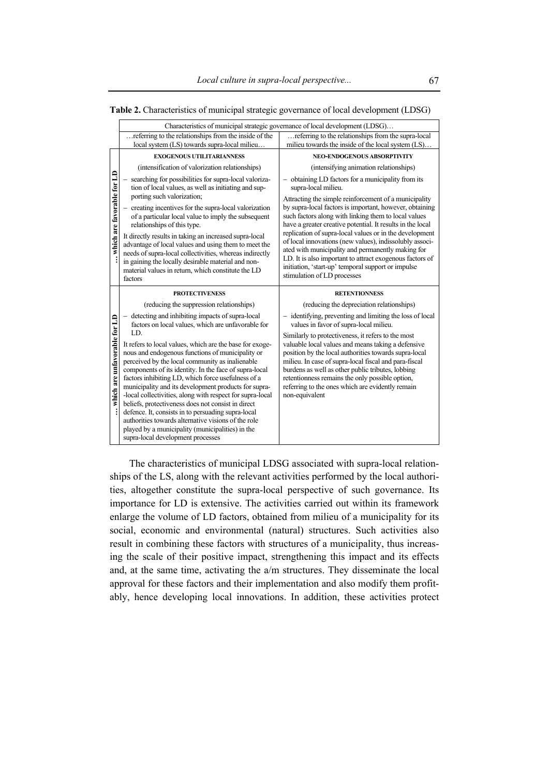|                              | Characteristics of municipal strategic governance of local development (LDSG)                                                                                                                                                                                                                    |                                                                                                                                                                                                                                                                                                                          |  |  |  |
|------------------------------|--------------------------------------------------------------------------------------------------------------------------------------------------------------------------------------------------------------------------------------------------------------------------------------------------|--------------------------------------------------------------------------------------------------------------------------------------------------------------------------------------------------------------------------------------------------------------------------------------------------------------------------|--|--|--|
|                              | referring to the relationships from the inside of the<br>local system (LS) towards supra-local milieu                                                                                                                                                                                            | referring to the relationships from the supra-local<br>milieu towards the inside of the local system (LS)                                                                                                                                                                                                                |  |  |  |
|                              |                                                                                                                                                                                                                                                                                                  |                                                                                                                                                                                                                                                                                                                          |  |  |  |
|                              | <b>EXOGENOUS UTILITARIANNESS</b>                                                                                                                                                                                                                                                                 | NEO-ENDOGENOUS ABSORPTIVITY                                                                                                                                                                                                                                                                                              |  |  |  |
|                              | (intensification of valorization relationships)                                                                                                                                                                                                                                                  | (intensifying animation relationships)                                                                                                                                                                                                                                                                                   |  |  |  |
|                              | searching for possibilities for supra-local valoriza-<br>tion of local values, as well as initiating and sup-<br>porting such valorization;                                                                                                                                                      | obtaining LD factors for a municipality from its<br>supra-local milieu.                                                                                                                                                                                                                                                  |  |  |  |
|                              |                                                                                                                                                                                                                                                                                                  | Attracting the simple reinforcement of a municipality                                                                                                                                                                                                                                                                    |  |  |  |
| which are favorable for LD   | creating incentives for the supra-local valorization<br>of a particular local value to imply the subsequent<br>relationships of this type.                                                                                                                                                       | by supra-local factors is important, however, obtaining<br>such factors along with linking them to local values<br>have a greater creative potential. It results in the local                                                                                                                                            |  |  |  |
|                              | It directly results in taking an increased supra-local<br>advantage of local values and using them to meet the<br>needs of supra-local collectivities, whereas indirectly<br>in gaining the locally desirable material and non-<br>material values in return, which constitute the LD<br>factors | replication of supra-local values or in the development<br>of local innovations (new values), indissolubly associ-<br>ated with municipality and permanently making for<br>LD. It is also important to attract exogenous factors of<br>initiation, 'start-up' temporal support or impulse<br>stimulation of LD processes |  |  |  |
|                              |                                                                                                                                                                                                                                                                                                  |                                                                                                                                                                                                                                                                                                                          |  |  |  |
|                              | <b>PROTECTIVENESS</b>                                                                                                                                                                                                                                                                            | <b>RETENTIONNESS</b>                                                                                                                                                                                                                                                                                                     |  |  |  |
|                              | (reducing the suppression relationships)                                                                                                                                                                                                                                                         | (reducing the depreciation relationships)                                                                                                                                                                                                                                                                                |  |  |  |
| which are unfavorable for LD | detecting and inhibiting impacts of supra-local<br>factors on local values, which are unfavorable for<br>LD.                                                                                                                                                                                     | - identifying, preventing and limiting the loss of local<br>values in favor of supra-local milieu.<br>Similarly to protectiveness, it refers to the most                                                                                                                                                                 |  |  |  |

**Table 2.** Characteristics of municipal strategic governance of local development (LDSG)

The characteristics of municipal LDSG associated with supra-local relationships of the LS, along with the relevant activities performed by the local authorities, altogether constitute the supra-local perspective of such governance. Its importance for LD is extensive. The activities carried out within its framework enlarge the volume of LD factors, obtained from milieu of a municipality for its social, economic and environmental (natural) structures. Such activities also result in combining these factors with structures of a municipality, thus increasing the scale of their positive impact, strengthening this impact and its effects and, at the same time, activating the a/m structures. They disseminate the local approval for these factors and their implementation and also modify them profitably, hence developing local innovations. In addition, these activities protect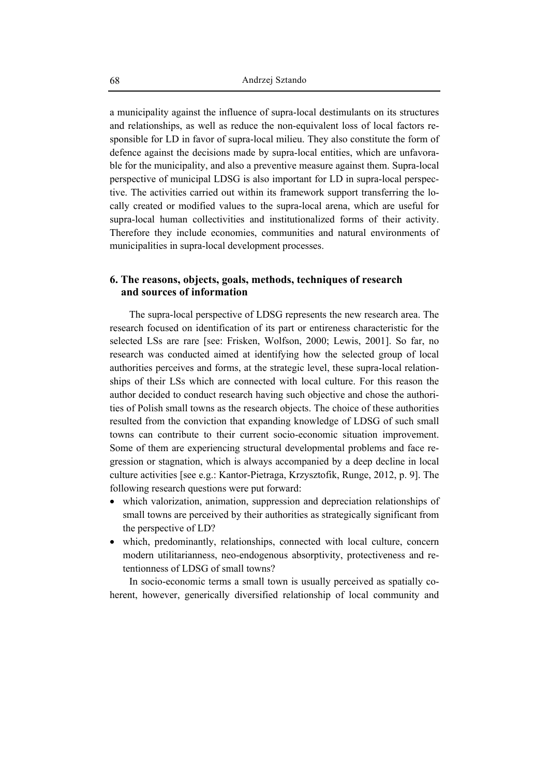a municipality against the influence of supra-local destimulants on its structures and relationships, as well as reduce the non-equivalent loss of local factors responsible for LD in favor of supra-local milieu. They also constitute the form of defence against the decisions made by supra-local entities, which are unfavorable for the municipality, and also a preventive measure against them. Supra-local perspective of municipal LDSG is also important for LD in supra-local perspective. The activities carried out within its framework support transferring the locally created or modified values to the supra-local arena, which are useful for supra-local human collectivities and institutionalized forms of their activity. Therefore they include economies, communities and natural environments of municipalities in supra-local development processes.

### **6. The reasons, objects, goals, methods, techniques of research and sources of information**

The supra-local perspective of LDSG represents the new research area. The research focused on identification of its part or entireness characteristic for the selected LSs are rare [see: Frisken, Wolfson, 2000; Lewis, 2001]. So far, no research was conducted aimed at identifying how the selected group of local authorities perceives and forms, at the strategic level, these supra-local relationships of their LSs which are connected with local culture. For this reason the author decided to conduct research having such objective and chose the authorities of Polish small towns as the research objects. The choice of these authorities resulted from the conviction that expanding knowledge of LDSG of such small towns can contribute to their current socio-economic situation improvement. Some of them are experiencing structural developmental problems and face regression or stagnation, which is always accompanied by a deep decline in local culture activities [see e.g.: Kantor-Pietraga, Krzysztofik, Runge, 2012, p. 9]. The following research questions were put forward:

- which valorization, animation, suppression and depreciation relationships of small towns are perceived by their authorities as strategically significant from the perspective of LD?
- which, predominantly, relationships, connected with local culture, concern modern utilitarianness, neo-endogenous absorptivity, protectiveness and retentionness of LDSG of small towns?

In socio-economic terms a small town is usually perceived as spatially coherent, however, generically diversified relationship of local community and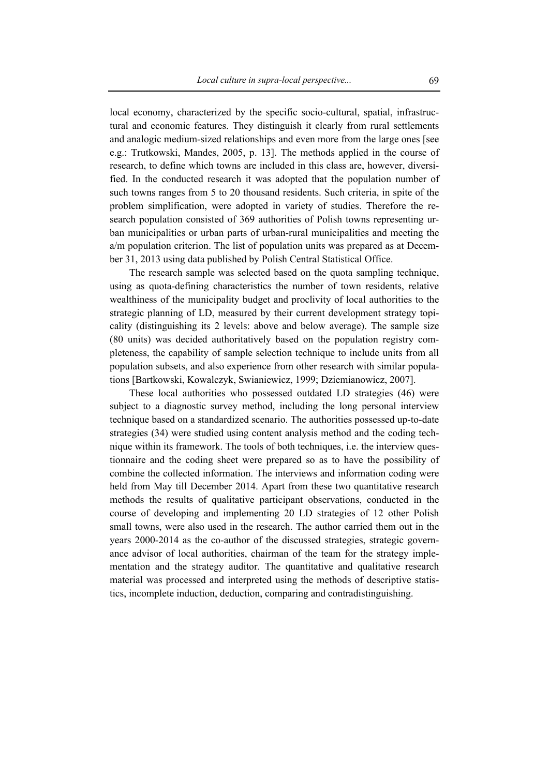local economy, characterized by the specific socio-cultural, spatial, infrastructural and economic features. They distinguish it clearly from rural settlements and analogic medium-sized relationships and even more from the large ones [see e.g.: Trutkowski, Mandes, 2005, p. 13]. The methods applied in the course of research, to define which towns are included in this class are, however, diversified. In the conducted research it was adopted that the population number of such towns ranges from 5 to 20 thousand residents. Such criteria, in spite of the problem simplification, were adopted in variety of studies. Therefore the research population consisted of 369 authorities of Polish towns representing urban municipalities or urban parts of urban-rural municipalities and meeting the a/m population criterion. The list of population units was prepared as at December 31, 2013 using data published by Polish Central Statistical Office.

The research sample was selected based on the quota sampling technique, using as quota-defining characteristics the number of town residents, relative wealthiness of the municipality budget and proclivity of local authorities to the strategic planning of LD, measured by their current development strategy topicality (distinguishing its 2 levels: above and below average). The sample size (80 units) was decided authoritatively based on the population registry completeness, the capability of sample selection technique to include units from all population subsets, and also experience from other research with similar populations [Bartkowski, Kowalczyk, Swianiewicz, 1999; Dziemianowicz, 2007].

These local authorities who possessed outdated LD strategies (46) were subject to a diagnostic survey method, including the long personal interview technique based on a standardized scenario. The authorities possessed up-to-date strategies (34) were studied using content analysis method and the coding technique within its framework. The tools of both techniques, i.e. the interview questionnaire and the coding sheet were prepared so as to have the possibility of combine the collected information. The interviews and information coding were held from May till December 2014. Apart from these two quantitative research methods the results of qualitative participant observations, conducted in the course of developing and implementing 20 LD strategies of 12 other Polish small towns, were also used in the research. The author carried them out in the years 2000-2014 as the co-author of the discussed strategies, strategic governance advisor of local authorities, chairman of the team for the strategy implementation and the strategy auditor. The quantitative and qualitative research material was processed and interpreted using the methods of descriptive statistics, incomplete induction, deduction, comparing and contradistinguishing.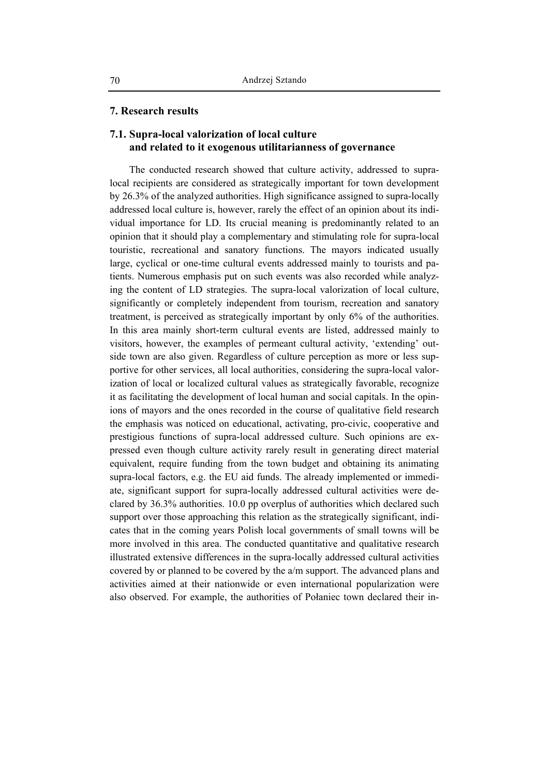#### **7. Research results**

## **7.1. Supra-local valorization of local culture and related to it exogenous utilitarianness of governance**

The conducted research showed that culture activity, addressed to supralocal recipients are considered as strategically important for town development by 26.3% of the analyzed authorities. High significance assigned to supra-locally addressed local culture is, however, rarely the effect of an opinion about its individual importance for LD. Its crucial meaning is predominantly related to an opinion that it should play a complementary and stimulating role for supra-local touristic, recreational and sanatory functions. The mayors indicated usually large, cyclical or one-time cultural events addressed mainly to tourists and patients. Numerous emphasis put on such events was also recorded while analyzing the content of LD strategies. The supra-local valorization of local culture, significantly or completely independent from tourism, recreation and sanatory treatment, is perceived as strategically important by only 6% of the authorities. In this area mainly short-term cultural events are listed, addressed mainly to visitors, however, the examples of permeant cultural activity, 'extending' outside town are also given. Regardless of culture perception as more or less supportive for other services, all local authorities, considering the supra-local valorization of local or localized cultural values as strategically favorable, recognize it as facilitating the development of local human and social capitals. In the opinions of mayors and the ones recorded in the course of qualitative field research the emphasis was noticed on educational, activating, pro-civic, cooperative and prestigious functions of supra-local addressed culture. Such opinions are expressed even though culture activity rarely result in generating direct material equivalent, require funding from the town budget and obtaining its animating supra-local factors, e.g. the EU aid funds. The already implemented or immediate, significant support for supra-locally addressed cultural activities were declared by 36.3% authorities. 10.0 pp overplus of authorities which declared such support over those approaching this relation as the strategically significant, indicates that in the coming years Polish local governments of small towns will be more involved in this area. The conducted quantitative and qualitative research illustrated extensive differences in the supra-locally addressed cultural activities covered by or planned to be covered by the a/m support. The advanced plans and activities aimed at their nationwide or even international popularization were also observed. For example, the authorities of Połaniec town declared their in-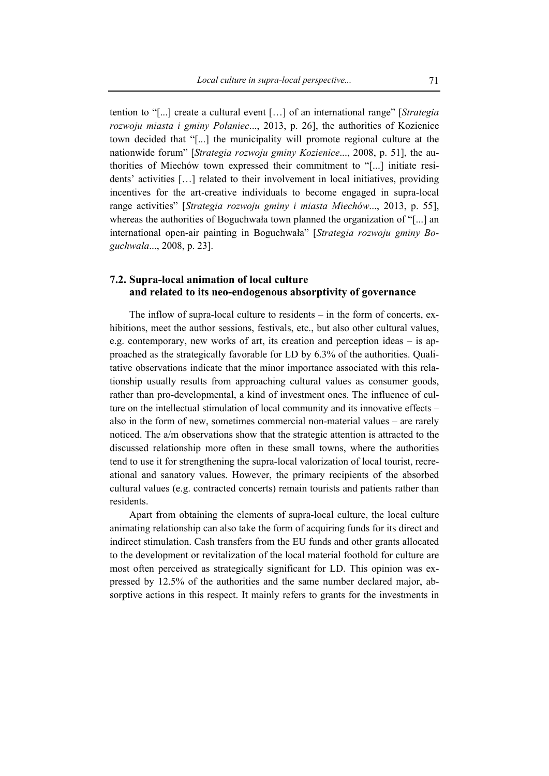tention to "[...] create a cultural event […] of an international range" [*Strategia rozwoju miasta i gminy Połaniec*..., 2013, p. 26], the authorities of Kozienice town decided that "[...] the municipality will promote regional culture at the nationwide forum" [*Strategia rozwoju gminy Kozienice*..., 2008, p. 51], the authorities of Miechów town expressed their commitment to "[...] initiate residents' activities […] related to their involvement in local initiatives, providing incentives for the art-creative individuals to become engaged in supra-local range activities" [*Strategia rozwoju gminy i miasta Miechów*..., 2013, p. 55], whereas the authorities of Boguchwała town planned the organization of "[...] an international open-air painting in Boguchwała" [*Strategia rozwoju gminy Boguchwała*..., 2008, p. 23].

## **7.2. Supra-local animation of local culture and related to its neo-endogenous absorptivity of governance**

The inflow of supra-local culture to residents – in the form of concerts, exhibitions, meet the author sessions, festivals, etc., but also other cultural values, e.g. contemporary, new works of art, its creation and perception ideas – is approached as the strategically favorable for LD by 6.3% of the authorities. Qualitative observations indicate that the minor importance associated with this relationship usually results from approaching cultural values as consumer goods, rather than pro-developmental, a kind of investment ones. The influence of culture on the intellectual stimulation of local community and its innovative effects – also in the form of new, sometimes commercial non-material values – are rarely noticed. The a/m observations show that the strategic attention is attracted to the discussed relationship more often in these small towns, where the authorities tend to use it for strengthening the supra-local valorization of local tourist, recreational and sanatory values. However, the primary recipients of the absorbed cultural values (e.g. contracted concerts) remain tourists and patients rather than residents.

Apart from obtaining the elements of supra-local culture, the local culture animating relationship can also take the form of acquiring funds for its direct and indirect stimulation. Cash transfers from the EU funds and other grants allocated to the development or revitalization of the local material foothold for culture are most often perceived as strategically significant for LD. This opinion was expressed by 12.5% of the authorities and the same number declared major, absorptive actions in this respect. It mainly refers to grants for the investments in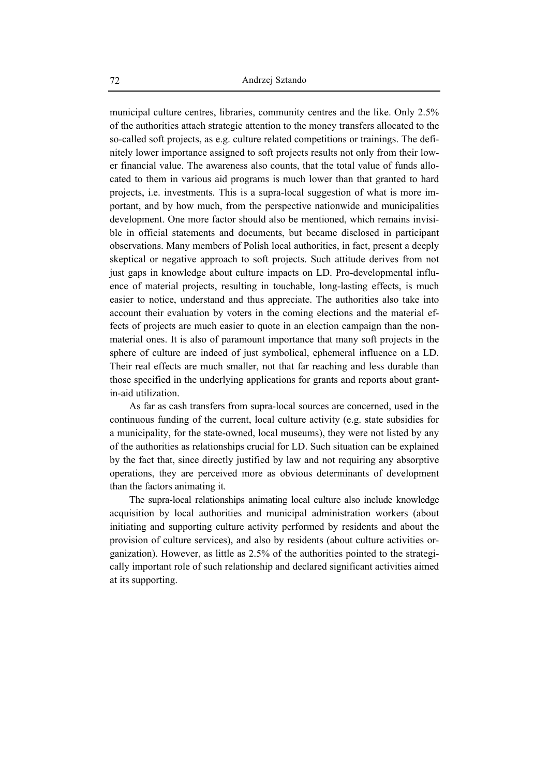municipal culture centres, libraries, community centres and the like. Only 2.5% of the authorities attach strategic attention to the money transfers allocated to the so-called soft projects, as e.g. culture related competitions or trainings. The definitely lower importance assigned to soft projects results not only from their lower financial value. The awareness also counts, that the total value of funds allocated to them in various aid programs is much lower than that granted to hard projects, i.e. investments. This is a supra-local suggestion of what is more important, and by how much, from the perspective nationwide and municipalities development. One more factor should also be mentioned, which remains invisible in official statements and documents, but became disclosed in participant observations. Many members of Polish local authorities, in fact, present a deeply skeptical or negative approach to soft projects. Such attitude derives from not just gaps in knowledge about culture impacts on LD. Pro-developmental influence of material projects, resulting in touchable, long-lasting effects, is much easier to notice, understand and thus appreciate. The authorities also take into account their evaluation by voters in the coming elections and the material effects of projects are much easier to quote in an election campaign than the nonmaterial ones. It is also of paramount importance that many soft projects in the sphere of culture are indeed of just symbolical, ephemeral influence on a LD. Their real effects are much smaller, not that far reaching and less durable than those specified in the underlying applications for grants and reports about grantin-aid utilization.

As far as cash transfers from supra-local sources are concerned, used in the continuous funding of the current, local culture activity (e.g. state subsidies for a municipality, for the state-owned, local museums), they were not listed by any of the authorities as relationships crucial for LD. Such situation can be explained by the fact that, since directly justified by law and not requiring any absorptive operations, they are perceived more as obvious determinants of development than the factors animating it.

The supra-local relationships animating local culture also include knowledge acquisition by local authorities and municipal administration workers (about initiating and supporting culture activity performed by residents and about the provision of culture services), and also by residents (about culture activities organization). However, as little as 2.5% of the authorities pointed to the strategically important role of such relationship and declared significant activities aimed at its supporting.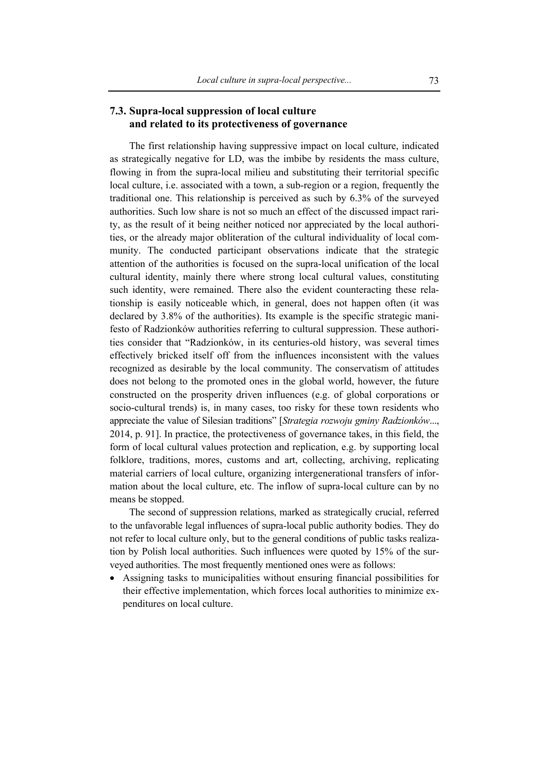## **7.3. Supra-local suppression of local culture and related to its protectiveness of governance**

The first relationship having suppressive impact on local culture, indicated as strategically negative for LD, was the imbibe by residents the mass culture, flowing in from the supra-local milieu and substituting their territorial specific local culture, i.e. associated with a town, a sub-region or a region, frequently the traditional one. This relationship is perceived as such by 6.3% of the surveyed authorities. Such low share is not so much an effect of the discussed impact rarity, as the result of it being neither noticed nor appreciated by the local authorities, or the already major obliteration of the cultural individuality of local community. The conducted participant observations indicate that the strategic attention of the authorities is focused on the supra-local unification of the local cultural identity, mainly there where strong local cultural values, constituting such identity, were remained. There also the evident counteracting these relationship is easily noticeable which, in general, does not happen often (it was declared by 3.8% of the authorities). Its example is the specific strategic manifesto of Radzionków authorities referring to cultural suppression. These authorities consider that "Radzionków, in its centuries-old history, was several times effectively bricked itself off from the influences inconsistent with the values recognized as desirable by the local community. The conservatism of attitudes does not belong to the promoted ones in the global world, however, the future constructed on the prosperity driven influences (e.g. of global corporations or socio-cultural trends) is, in many cases, too risky for these town residents who appreciate the value of Silesian traditions" [*Strategia rozwoju gminy Radzionków*..., 2014, p. 91]. In practice, the protectiveness of governance takes, in this field, the form of local cultural values protection and replication, e.g. by supporting local folklore, traditions, mores, customs and art, collecting, archiving, replicating material carriers of local culture, organizing intergenerational transfers of information about the local culture, etc. The inflow of supra-local culture can by no means be stopped.

The second of suppression relations, marked as strategically crucial, referred to the unfavorable legal influences of supra-local public authority bodies. They do not refer to local culture only, but to the general conditions of public tasks realization by Polish local authorities. Such influences were quoted by 15% of the surveyed authorities. The most frequently mentioned ones were as follows:

• Assigning tasks to municipalities without ensuring financial possibilities for their effective implementation, which forces local authorities to minimize expenditures on local culture.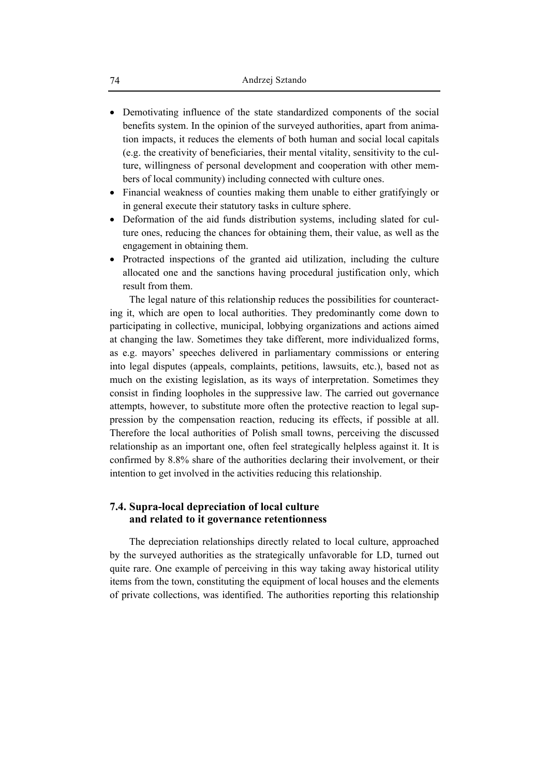- Demotivating influence of the state standardized components of the social benefits system. In the opinion of the surveyed authorities, apart from animation impacts, it reduces the elements of both human and social local capitals (e.g. the creativity of beneficiaries, their mental vitality, sensitivity to the culture, willingness of personal development and cooperation with other members of local community) including connected with culture ones.
- Financial weakness of counties making them unable to either gratifyingly or in general execute their statutory tasks in culture sphere.
- Deformation of the aid funds distribution systems, including slated for culture ones, reducing the chances for obtaining them, their value, as well as the engagement in obtaining them.
- Protracted inspections of the granted aid utilization, including the culture allocated one and the sanctions having procedural justification only, which result from them.

The legal nature of this relationship reduces the possibilities for counteracting it, which are open to local authorities. They predominantly come down to participating in collective, municipal, lobbying organizations and actions aimed at changing the law. Sometimes they take different, more individualized forms, as e.g. mayors' speeches delivered in parliamentary commissions or entering into legal disputes (appeals, complaints, petitions, lawsuits, etc.), based not as much on the existing legislation, as its ways of interpretation. Sometimes they consist in finding loopholes in the suppressive law. The carried out governance attempts, however, to substitute more often the protective reaction to legal suppression by the compensation reaction, reducing its effects, if possible at all. Therefore the local authorities of Polish small towns, perceiving the discussed relationship as an important one, often feel strategically helpless against it. It is confirmed by 8.8% share of the authorities declaring their involvement, or their intention to get involved in the activities reducing this relationship.

## **7.4. Supra-local depreciation of local culture and related to it governance retentionness**

The depreciation relationships directly related to local culture, approached by the surveyed authorities as the strategically unfavorable for LD, turned out quite rare. One example of perceiving in this way taking away historical utility items from the town, constituting the equipment of local houses and the elements of private collections, was identified. The authorities reporting this relationship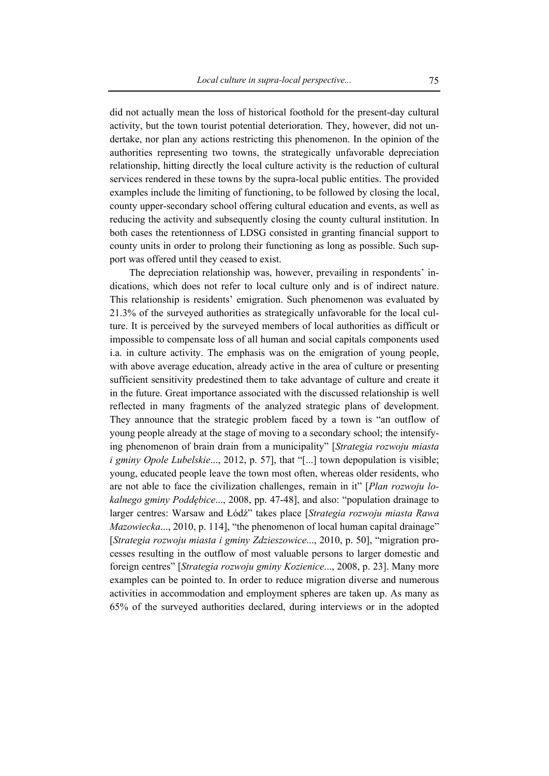did not actually mean the loss of historical foothold for the present-day cultural activity, but the town tourist potential deterioration. They, however, did not undertake, nor plan any actions restricting this phenomenon. In the opinion of the authorities representing two towns, the strategically unfavorable depreciation relationship, hitting directly the local culture activity is the reduction of cultural services rendered in these towns by the supra-local public entities. The provided examples include the limiting of functioning, to be followed by closing the local, county upper-secondary school offering cultural education and events, as well as reducing the activity and subsequently closing the county cultural institution. In both cases the retentionness of LDSG consisted in granting financial support to county units in order to prolong their functioning as long as possible. Such support was offered until they ceased to exist.

The depreciation relationship was, however, prevailing in respondents' indications, which does not refer to local culture only and is of indirect nature. This relationship is residents' emigration. Such phenomenon was evaluated by 21.3% of the surveyed authorities as strategically unfavorable for the local culture. It is perceived by the surveyed members of local authorities as difficult or impossible to compensate loss of all human and social capitals components used i.a. in culture activity. The emphasis was on the emigration of young people, with above average education, already active in the area of culture or presenting sufficient sensitivity predestined them to take advantage of culture and create it in the future. Great importance associated with the discussed relationship is well reflected in many fragments of the analyzed strategic plans of development. They announce that the strategic problem faced by a town is "an outflow of young people already at the stage of moving to a secondary school; the intensifying phenomenon of brain drain from a municipality" [*Strategia rozwoju miasta i gminy Opole Lubelskie*..., 2012, p. 57], that "[...] town depopulation is visible; young, educated people leave the town most often, whereas older residents, who are not able to face the civilization challenges, remain in it" [*Plan rozwoju lokalnego gminy Poddębice*..., 2008, pp. 47-48], and also: "population drainage to larger centres: Warsaw and Łódź" takes place [*Strategia rozwoju miasta Rawa Mazowiecka*..., 2010, p. 114], "the phenomenon of local human capital drainage" [*Strategia rozwoju miasta i gminy Zdzieszowice*..., 2010, p. 50], "migration processes resulting in the outflow of most valuable persons to larger domestic and foreign centres" [*Strategia rozwoju gminy Kozienice*..., 2008, p. 23]. Many more examples can be pointed to. In order to reduce migration diverse and numerous activities in accommodation and employment spheres are taken up. As many as 65% of the surveyed authorities declared, during interviews or in the adopted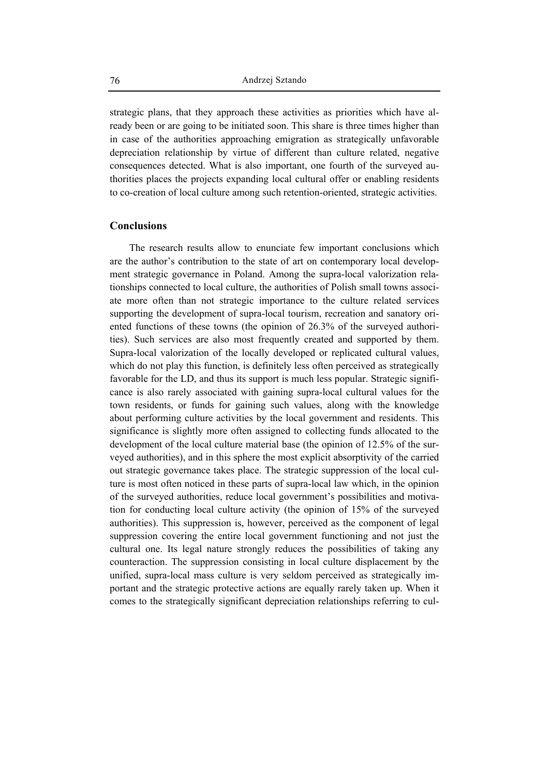strategic plans, that they approach these activities as priorities which have already been or are going to be initiated soon. This share is three times higher than in case of the authorities approaching emigration as strategically unfavorable depreciation relationship by virtue of different than culture related, negative consequences detected. What is also important, one fourth of the surveyed authorities places the projects expanding local cultural offer or enabling residents to co-creation of local culture among such retention-oriented, strategic activities.

### **Conclusions**

The research results allow to enunciate few important conclusions which are the author's contribution to the state of art on contemporary local development strategic governance in Poland. Among the supra-local valorization relationships connected to local culture, the authorities of Polish small towns associate more often than not strategic importance to the culture related services supporting the development of supra-local tourism, recreation and sanatory oriented functions of these towns (the opinion of 26.3% of the surveyed authorities). Such services are also most frequently created and supported by them. Supra-local valorization of the locally developed or replicated cultural values, which do not play this function, is definitely less often perceived as strategically favorable for the LD, and thus its support is much less popular. Strategic significance is also rarely associated with gaining supra-local cultural values for the town residents, or funds for gaining such values, along with the knowledge about performing culture activities by the local government and residents. This significance is slightly more often assigned to collecting funds allocated to the development of the local culture material base (the opinion of 12.5% of the surveyed authorities), and in this sphere the most explicit absorptivity of the carried out strategic governance takes place. The strategic suppression of the local culture is most often noticed in these parts of supra-local law which, in the opinion of the surveyed authorities, reduce local government's possibilities and motivation for conducting local culture activity (the opinion of 15% of the surveyed authorities). This suppression is, however, perceived as the component of legal suppression covering the entire local government functioning and not just the cultural one. Its legal nature strongly reduces the possibilities of taking any counteraction. The suppression consisting in local culture displacement by the unified, supra-local mass culture is very seldom perceived as strategically important and the strategic protective actions are equally rarely taken up. When it comes to the strategically significant depreciation relationships referring to cul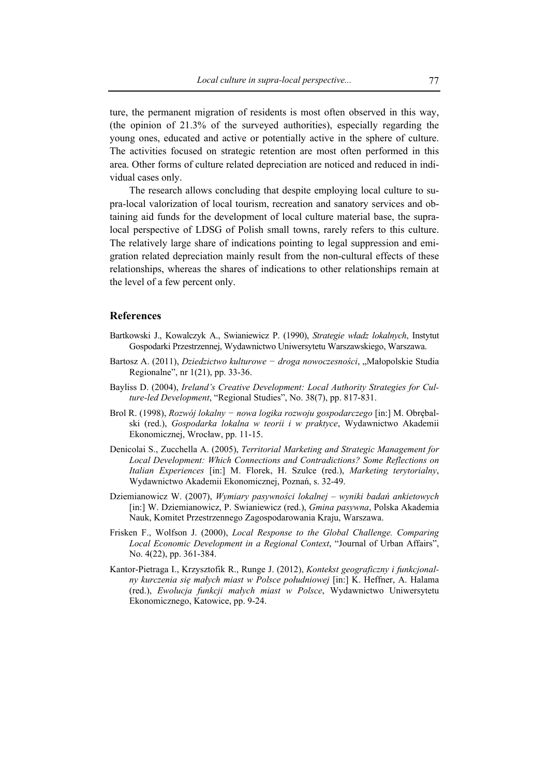ture, the permanent migration of residents is most often observed in this way, (the opinion of 21.3% of the surveyed authorities), especially regarding the young ones, educated and active or potentially active in the sphere of culture. The activities focused on strategic retention are most often performed in this area. Other forms of culture related depreciation are noticed and reduced in individual cases only.

The research allows concluding that despite employing local culture to supra-local valorization of local tourism, recreation and sanatory services and obtaining aid funds for the development of local culture material base, the supralocal perspective of LDSG of Polish small towns, rarely refers to this culture. The relatively large share of indications pointing to legal suppression and emigration related depreciation mainly result from the non-cultural effects of these relationships, whereas the shares of indications to other relationships remain at the level of a few percent only.

#### **References**

- Bartkowski J., Kowalczyk A., Swianiewicz P. (1990), *Strategie władz lokalnych*, Instytut Gospodarki Przestrzennej, Wydawnictwo Uniwersytetu Warszawskiego, Warszawa.
- Bartosz A. (2011), *Dziedzictwo kulturowe − droga nowoczesności*, "Małopolskie Studia Regionalne", nr 1(21), pp. 33-36.
- Bayliss D. (2004), *Ireland's Creative Development: Local Authority Strategies for Culture-led Development*, "Regional Studies", No. 38(7), pp. 817-831.
- Brol R. (1998), *Rozwój lokalny − nowa logika rozwoju gospodarczego* [in:] M. Obrębalski (red.), *Gospodarka lokalna w teorii i w praktyce*, Wydawnictwo Akademii Ekonomicznej, Wrocław, pp. 11-15.
- Denicolai S., Zucchella A. (2005), *Territorial Marketing and Strategic Management for Local Development: Which Connections and Contradictions? Some Reflections on Italian Experiences* [in:] M. Florek, H. Szulce (red.), *Marketing terytorialny*, Wydawnictwo Akademii Ekonomicznej, Poznań, s. 32-49.
- Dziemianowicz W. (2007), *Wymiary pasywności lokalnej wyniki badań ankietowych* [in:] W. Dziemianowicz, P. Swianiewicz (red.), *Gmina pasywna*, Polska Akademia Nauk, Komitet Przestrzennego Zagospodarowania Kraju, Warszawa.
- Frisken F., Wolfson J. (2000), *Local Response to the Global Challenge. Comparing Local Economic Development in a Regional Context*, "Journal of Urban Affairs", No. 4(22), pp. 361-384.
- Kantor-Pietraga I., Krzysztofik R., Runge J. (2012), *Kontekst geograficzny i funkcjonalny kurczenia się małych miast w Polsce południowej* [in:] K. Heffner, A. Halama (red.), *Ewolucja funkcji małych miast w Polsce*, Wydawnictwo Uniwersytetu Ekonomicznego, Katowice, pp. 9-24.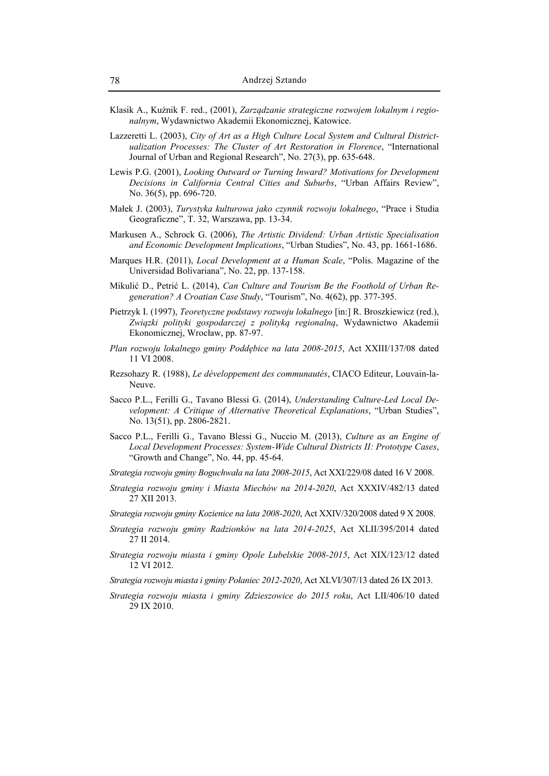- Klasik A., Kuźnik F. red., (2001), *Zarządzanie strategiczne rozwojem lokalnym i regionalnym*, Wydawnictwo Akademii Ekonomicznej, Katowice.
- Lazzeretti L. (2003), *City of Art as a High Culture Local System and Cultural Districtualization Processes: The Cluster of Art Restoration in Florence*, "International Journal of Urban and Regional Research", No. 27(3), pp. 635-648.
- Lewis P.G. (2001), *Looking Outward or Turning Inward? Motivations for Development Decisions in California Central Cities and Suburbs*, "Urban Affairs Review", No. 36(5), pp. 696-720.
- Małek J. (2003), *Turystyka kulturowa jako czynnik rozwoju lokalnego*, "Prace i Studia Geograficzne", T. 32, Warszawa, pp. 13-34.
- Markusen A., Schrock G. (2006), *The Artistic Dividend: Urban Artistic Specialisation and Economic Development Implications*, "Urban Studies", No. 43, pp. 1661-1686.
- Marques H.R. (2011), *Local Development at a Human Scale*, "Polis. Magazine of the Universidad Bolivariana", No. 22, pp. 137-158.
- Mikulić D., Petrić L. (2014), *Can Culture and Tourism Be the Foothold of Urban Regeneration? A Croatian Case Study*, "Tourism", No. 4(62), pp. 377-395.
- Pietrzyk I. (1997), *Teoretyczne podstawy rozwoju lokalnego* [in:] R. Broszkiewicz (red.), *Związki polityki gospodarczej z polityką regionalną*, Wydawnictwo Akademii Ekonomicznej, Wrocław, pp. 87-97.
- *Plan rozwoju lokalnego gminy Poddębice na lata 2008-2015*, Act XXIII/137/08 dated 11 VI 2008.
- Rezsohazy R. (1988), *Le développement des communautés*, CIACO Editeur, Louvain-la-Neuve.
- Sacco P.L., Ferilli G., Tavano Blessi G. (2014), *Understanding Culture-Led Local Development: A Critique of Alternative Theoretical Explanations*, "Urban Studies", No. 13(51), pp. 2806-2821.
- Sacco P.L., Ferilli G., Tavano Blessi G., Nuccio M. (2013), *Culture as an Engine of Local Development Processes: System-Wide Cultural Districts II: Prototype Cases*, "Growth and Change", No. 44, pp. 45-64.
- *Strategia rozwoju gminy Boguchwała na lata 2008-2015*, Act XXI/229/08 dated 16 V 2008.
- *Strategia rozwoju gminy i Miasta Miechów na 2014-2020*, Act XXXIV/482/13 dated 27 XII 2013.
- *Strategia rozwoju gminy Kozienice na lata 2008-2020*, Act XXIV/320/2008 dated 9 X 2008.
- *Strategia rozwoju gminy Radzionków na lata 2014-2025*, Act XLII/395/2014 dated 27 II 2014.
- *Strategia rozwoju miasta i gminy Opole Lubelskie 2008-2015*, Act XIX/123/12 dated 12 VI 2012.
- *Strategia rozwoju miasta i gminy Połaniec 2012-2020*, Act XLVI/307/13 dated 26 IX 2013.
- *Strategia rozwoju miasta i gminy Zdzieszowice do 2015 roku*, Act LII/406/10 dated 29 IX 2010.